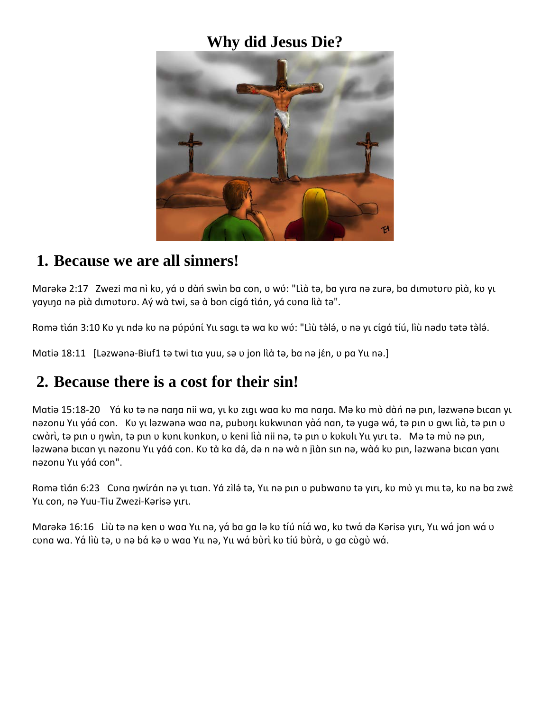#### **Why did Jesus Die?**



#### **1. Because we are all sinners!**

Marəkə 2:17 Zwezi ma nì kv, yá v dàń swìn ba con, v wú: "Lìà tə, ba yıra nə zurə, ba dımuturu pìà, ku yı yayına nə pià dimuturu. Aý wà twi, sə à bon cígá tián, yá cuna lià tə".

Romə tìán 3:10 Kʋ yı ndə kʋ nə pʋ́pʋ́ní Yu sagı tə wa kʋ wʋ́: "Lìù tə̀lə́, ʋ nə yı cígá tíú, lìù nədʋ tətə tə̀lə́.

Matia 18:11 [Lazwana-Biuf1 ta twi tư yuu, sa v jon lià ta, ba na jén, v pa Yu na.]

### **2. Because there is a cost for their sin!**

Matiə 15:18-20 Yá ku tə nə nana nii wa, yı ku zıgı waa ku ma nana. Mə ku mù dàn nə pın, ləzwənə bıcan yı nəzonu Yu yáá con. Kʋ yı ləzwənə waa nə, pubʋŋı kʋkwınan yàá nan, tə yuqə wá, tə pın ʋ qwı lìà, tə pın v cwàrì, tə pın v nwìn, tə pın v kunı kunkun, v keni lìà nii nə, tə pın v kukulı Yıı yırı tə. Mə tə mù nə pın, ləzwənə bıcan yı nəzonu Yıı yáá con. Kʋ tà ka də́, də n nə wà n jìàn sın nə, wàá kʋ pın, ləzwənə bıcan yanı nəzonu Yɩɩ yɑ́ɑ́con".

Romə tìán 6:23 Cuna ŋwirán nə yı tıan. Yá zìlə́ tə, Yu nə pın u pubwanu tə yırı, ku mù yı mu tə, ku nə ba zwè Yu con, nə Yuu-Tiu Zwezi-Kərisə yırı.

Marəkə 16:16 Lìù tə nə ken v waa Yu nə, yá ba ga lə kv tíú níá wa, kv twá də Kərisə yırı, Yu wá jon wá v cuna wa. Yá lìù tə, u nə bá kə u waa Yu nə, Yu wá bùrì ku tíú bùrà, u ga cùgù wá.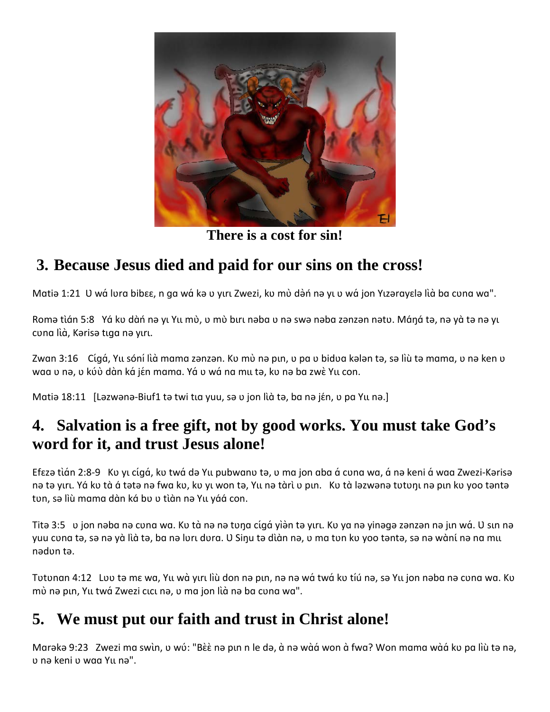

**There is a cost for sin!**

# **3. Because Jesus died and paid for our sins on the cross!**

Matiə 1:21 U wá lura bibɛɛ, n ga wá kə u yırı Zwezi, ku mù də̀n nə yı u wá jon Yızərayɛlə lià ba cuna wa".

Romə tìán 5:8 Yá ku dàn nə yı Yu mù, u mù bırı nəba u nə swə nəba zənzən nətu. Máná tə, nə yà tə nə yı cuna lìà, Kərisə tıqa nə yırı.

Zwan 3:16 Cígá, Yu sóní lìà mama zənzən. Kv mò nə pın, v pa v bidva kələn tə, sə lìù tə mama, v nə ken v waa v nə, v kúù dàn ká jén mama. Yá v wá na mu tə, kv nə ba zwè Yu con.

Matia 18:11 [Lazwana-Biuf1 ta twi tư yuu, sa v jon lù ta, ba na jén, v pa Yu na.]

## **4. Salvation is a free gift, not by good works. You must take God's word for it, and trust Jesus alone!**

Efɛzə tìán 2:8-9 Kv yı cígá, kv twá də Yu pubwanv tə, v ma jon aba á cuna wa, á nə keni á waa Zwezi-Kərisə nə tə yırı. Yá kʊ tà á tətə nə fwa kʊ, kʊ yi won tə, Yii nə tàrì ʊ pin. Kʊ tà ləzwənə tʊtʊni nə pin kʊ yoo təntə tun, sə lìù mama dàn ká bu u tìàn nə Yu yáá con.

Titə 3:5 v jon nəba nə cuna wa. Ku tà nə nə tuna cíqá yiən tə yırı. Ku ya nə yinəqə zənzən nə jın wá. U sın nə yuu cʋna tə, sə nə yà lìà tə, ba nə lʋrı dʋra. U Siŋu tə dìàn nə, ʋ ma tʋn kʋ yoo təntə, sə nə wàní nə na mıı nədʋn tə.

Totonan 4:12 Loo tə mɛ wa, Yu wà yırı liù don nə pın, nə nə wá twá ko tíú nə, sə Yu jon nəba nə cona wa. Ko mù nə pın, Yu twá Zwezi cıcı nə, v ma jon lìà nə ba cuna wa".

# **5. We must put our faith and trust in Christ alone!**

Marəkə 9:23 Zwezi ma swìn, v wú: "Bèè nə pın n le də, à nə wàá won à fwa? Won mama wàá ku pa lìù tə nə, ʋ nə keni ʋ wɑɑ Yɩɩ nə".